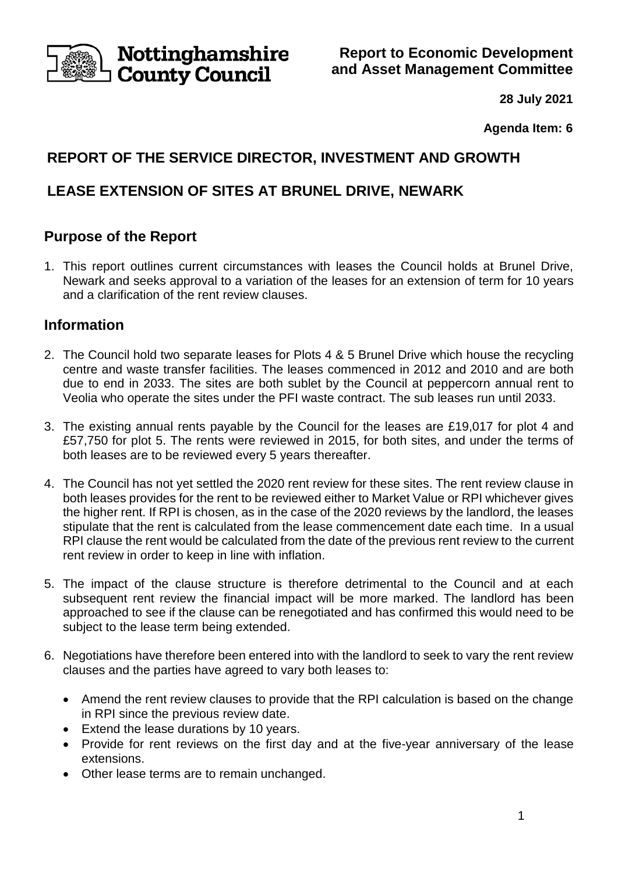

**Report to Economic Development and Asset Management Committee**

**28 July 2021**

**Agenda Item: 6**

# **REPORT OF THE SERVICE DIRECTOR, INVESTMENT AND GROWTH**

# **LEASE EXTENSION OF SITES AT BRUNEL DRIVE, NEWARK**

# **Purpose of the Report**

1. This report outlines current circumstances with leases the Council holds at Brunel Drive, Newark and seeks approval to a variation of the leases for an extension of term for 10 years and a clarification of the rent review clauses.

# **Information**

- 2. The Council hold two separate leases for Plots 4 & 5 Brunel Drive which house the recycling centre and waste transfer facilities. The leases commenced in 2012 and 2010 and are both due to end in 2033. The sites are both sublet by the Council at peppercorn annual rent to Veolia who operate the sites under the PFI waste contract. The sub leases run until 2033.
- 3. The existing annual rents payable by the Council for the leases are £19,017 for plot 4 and £57,750 for plot 5. The rents were reviewed in 2015, for both sites, and under the terms of both leases are to be reviewed every 5 years thereafter.
- 4. The Council has not yet settled the 2020 rent review for these sites. The rent review clause in both leases provides for the rent to be reviewed either to Market Value or RPI whichever gives the higher rent. If RPI is chosen, as in the case of the 2020 reviews by the landlord, the leases stipulate that the rent is calculated from the lease commencement date each time. In a usual RPI clause the rent would be calculated from the date of the previous rent review to the current rent review in order to keep in line with inflation.
- 5. The impact of the clause structure is therefore detrimental to the Council and at each subsequent rent review the financial impact will be more marked. The landlord has been approached to see if the clause can be renegotiated and has confirmed this would need to be subject to the lease term being extended.
- 6. Negotiations have therefore been entered into with the landlord to seek to vary the rent review clauses and the parties have agreed to vary both leases to:
	- Amend the rent review clauses to provide that the RPI calculation is based on the change in RPI since the previous review date.
	- Extend the lease durations by 10 years.
	- Provide for rent reviews on the first day and at the five-year anniversary of the lease extensions.
	- Other lease terms are to remain unchanged.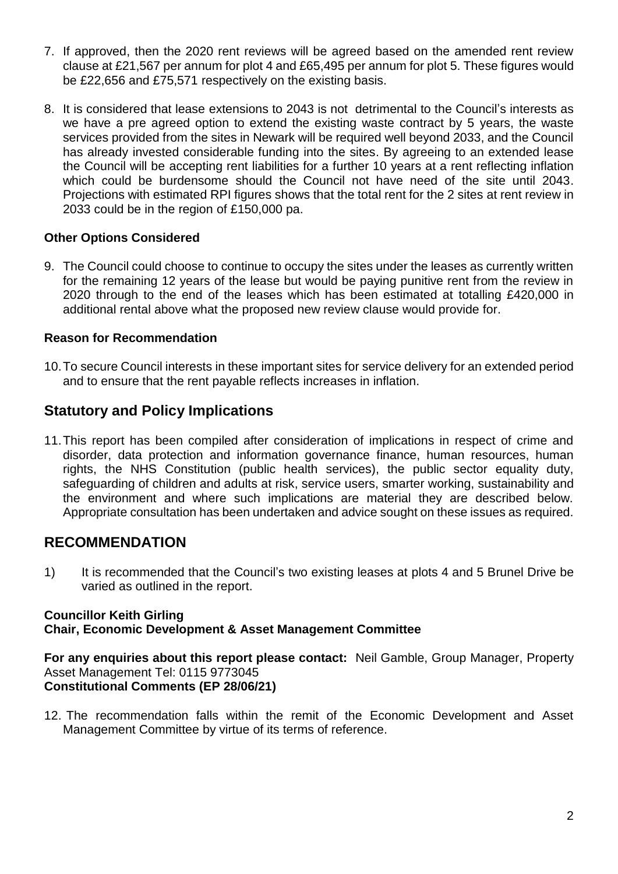- 7. If approved, then the 2020 rent reviews will be agreed based on the amended rent review clause at £21,567 per annum for plot 4 and £65,495 per annum for plot 5. These figures would be £22,656 and £75,571 respectively on the existing basis.
- 8. It is considered that lease extensions to 2043 is not detrimental to the Council's interests as we have a pre agreed option to extend the existing waste contract by 5 years, the waste services provided from the sites in Newark will be required well beyond 2033, and the Council has already invested considerable funding into the sites. By agreeing to an extended lease the Council will be accepting rent liabilities for a further 10 years at a rent reflecting inflation which could be burdensome should the Council not have need of the site until 2043. Projections with estimated RPI figures shows that the total rent for the 2 sites at rent review in 2033 could be in the region of £150,000 pa.

### **Other Options Considered**

9. The Council could choose to continue to occupy the sites under the leases as currently written for the remaining 12 years of the lease but would be paying punitive rent from the review in 2020 through to the end of the leases which has been estimated at totalling £420,000 in additional rental above what the proposed new review clause would provide for.

### **Reason for Recommendation**

10.To secure Council interests in these important sites for service delivery for an extended period and to ensure that the rent payable reflects increases in inflation.

## **Statutory and Policy Implications**

11.This report has been compiled after consideration of implications in respect of crime and disorder, data protection and information governance finance, human resources, human rights, the NHS Constitution (public health services), the public sector equality duty, safeguarding of children and adults at risk, service users, smarter working, sustainability and the environment and where such implications are material they are described below. Appropriate consultation has been undertaken and advice sought on these issues as required.

# **RECOMMENDATION**

1) It is recommended that the Council's two existing leases at plots 4 and 5 Brunel Drive be varied as outlined in the report.

#### **Councillor Keith Girling Chair, Economic Development & Asset Management Committee**

**For any enquiries about this report please contact:** Neil Gamble, Group Manager, Property Asset Management Tel: 0115 9773045 **Constitutional Comments (EP 28/06/21)**

12. The recommendation falls within the remit of the Economic Development and Asset Management Committee by virtue of its terms of reference.